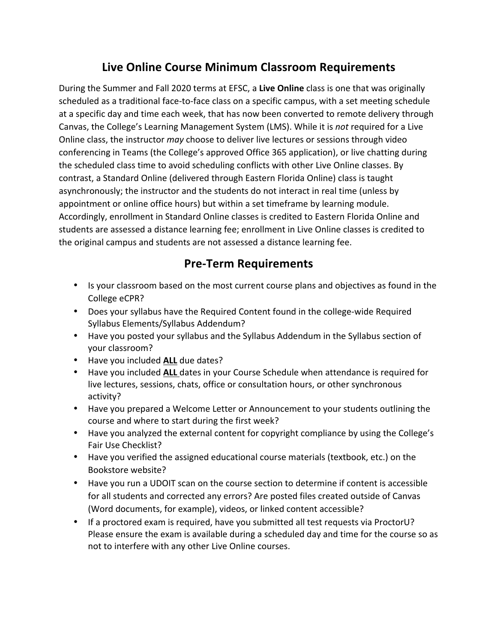# **Live Online Course Minimum Classroom Requirements**

During the Summer and Fall 2020 terms at EFSC, a Live Online class is one that was originally scheduled as a traditional face-to-face class on a specific campus, with a set meeting schedule at a specific day and time each week, that has now been converted to remote delivery through Canvas, the College's Learning Management System (LMS). While it is *not* required for a Live Online class, the instructor *may* choose to deliver live lectures or sessions through video conferencing in Teams (the College's approved Office 365 application), or live chatting during the scheduled class time to avoid scheduling conflicts with other Live Online classes. By contrast, a Standard Online (delivered through Eastern Florida Online) class is taught asynchronously; the instructor and the students do not interact in real time (unless by appointment or online office hours) but within a set timeframe by learning module. Accordingly, enrollment in Standard Online classes is credited to Eastern Florida Online and students are assessed a distance learning fee; enrollment in Live Online classes is credited to the original campus and students are not assessed a distance learning fee.

### **Pre-Term Requirements**

- Is your classroom based on the most current course plans and objectives as found in the College eCPR?
- Does your syllabus have the Required Content found in the college-wide Required Syllabus Elements/Syllabus Addendum?
- Have you posted your syllabus and the Syllabus Addendum in the Syllabus section of your classroom?
- Have you included **ALL** due dates?
- Have you included **ALL** dates in your Course Schedule when attendance is required for live lectures, sessions, chats, office or consultation hours, or other synchronous activity?
- Have you prepared a Welcome Letter or Announcement to your students outlining the course and where to start during the first week?
- Have you analyzed the external content for copyright compliance by using the College's Fair Use Checklist?
- Have you verified the assigned educational course materials (textbook, etc.) on the Bookstore website?
- Have you run a UDOIT scan on the course section to determine if content is accessible for all students and corrected any errors? Are posted files created outside of Canvas (Word documents, for example), videos, or linked content accessible?
- If a proctored exam is required, have you submitted all test requests via ProctorU? Please ensure the exam is available during a scheduled day and time for the course so as not to interfere with any other Live Online courses.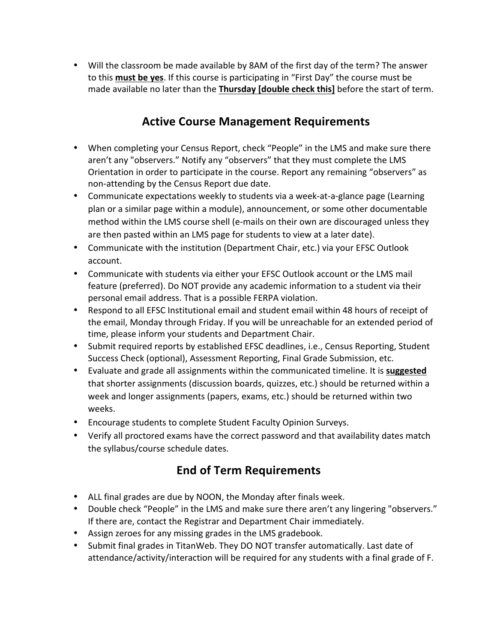• Will the classroom be made available by 8AM of the first day of the term? The answer to this **must be yes**. If this course is participating in "First Day" the course must be made available no later than the Thursday [double check this] before the start of term.

## **Active Course Management Requirements**

- When completing your Census Report, check "People" in the LMS and make sure there aren't any "observers." Notify any "observers" that they must complete the LMS Orientation in order to participate in the course. Report any remaining "observers" as non-attending by the Census Report due date.
- Communicate expectations weekly to students via a week-at-a-glance page (Learning plan or a similar page within a module), announcement, or some other documentable method within the LMS course shell (e-mails on their own are discouraged unless they are then pasted within an LMS page for students to view at a later date).
- Communicate with the institution (Department Chair, etc.) via your EFSC Outlook account.
- Communicate with students via either your EFSC Outlook account or the LMS mail feature (preferred). Do NOT provide any academic information to a student via their personal email address. That is a possible FERPA violation.
- Respond to all EFSC Institutional email and student email within 48 hours of receipt of the email, Monday through Friday. If you will be unreachable for an extended period of time, please inform your students and Department Chair.
- Submit required reports by established EFSC deadlines, i.e., Census Reporting, Student Success Check (optional), Assessment Reporting, Final Grade Submission, etc.
- Evaluate and grade all assignments within the communicated timeline. It is **suggested** that shorter assignments (discussion boards, quizzes, etc.) should be returned within a week and longer assignments (papers, exams, etc.) should be returned within two weeks.
- Encourage students to complete Student Faculty Opinion Surveys.
- Verify all proctored exams have the correct password and that availability dates match the syllabus/course schedule dates.

## **End of Term Requirements**

- ALL final grades are due by NOON, the Monday after finals week.
- Double check "People" in the LMS and make sure there aren't any lingering "observers." If there are, contact the Registrar and Department Chair immediately.
- Assign zeroes for any missing grades in the LMS gradebook.
- Submit final grades in TitanWeb. They DO NOT transfer automatically. Last date of attendance/activity/interaction will be required for any students with a final grade of F.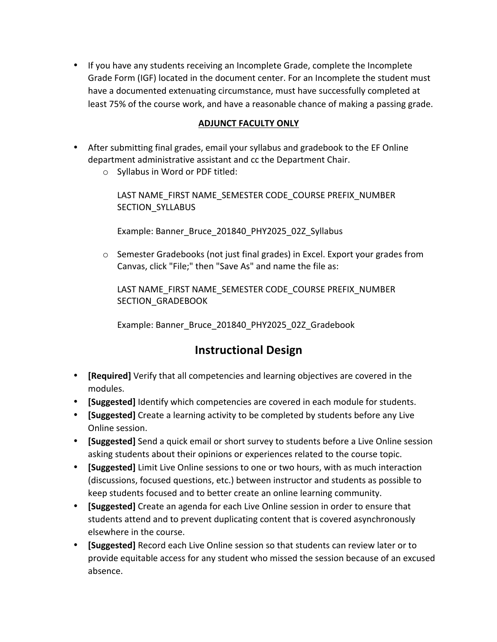• If you have any students receiving an Incomplete Grade, complete the Incomplete Grade Form (IGF) located in the document center. For an Incomplete the student must have a documented extenuating circumstance, must have successfully completed at least 75% of the course work, and have a reasonable chance of making a passing grade.

#### **ADJUNCT FACULTY ONLY**

- After submitting final grades, email your syllabus and gradebook to the EF Online department administrative assistant and cc the Department Chair.
	- $\circ$  Syllabus in Word or PDF titled:

LAST NAME\_FIRST NAME\_SEMESTER CODE\_COURSE PREFIX\_NUMBER SECTION SYLLABUS

Example: Banner\_Bruce\_201840\_PHY2025\_02Z\_Syllabus

o Semester Gradebooks (not just final grades) in Excel. Export your grades from Canvas, click "File;" then "Save As" and name the file as:

LAST NAME\_FIRST NAME\_SEMESTER CODE\_COURSE PREFIX\_NUMBER SECTION GRADEBOOK

Example: Banner\_Bruce\_201840\_PHY2025\_02Z\_Gradebook

### **Instructional Design**

- **[Required]** Verify that all competencies and learning objectives are covered in the modules.
- **[Suggested]** Identify which competencies are covered in each module for students.
- **[Suggested]** Create a learning activity to be completed by students before any Live Online session.
- **[Suggested]** Send a quick email or short survey to students before a Live Online session asking students about their opinions or experiences related to the course topic.
- **[Suggested]** Limit Live Online sessions to one or two hours, with as much interaction (discussions, focused questions, etc.) between instructor and students as possible to keep students focused and to better create an online learning community.
- **[Suggested]** Create an agenda for each Live Online session in order to ensure that students attend and to prevent duplicating content that is covered asynchronously elsewhere in the course.
- **[Suggested]** Record each Live Online session so that students can review later or to provide equitable access for any student who missed the session because of an excused absence.